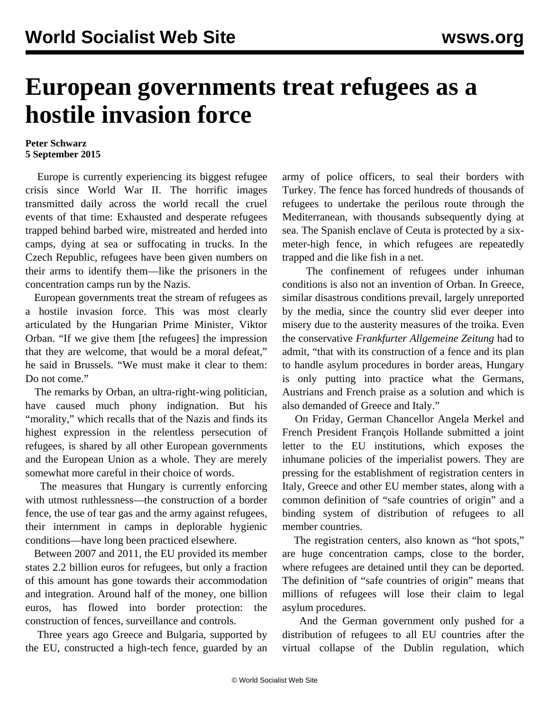## **European governments treat refugees as a hostile invasion force**

## **Peter Schwarz 5 September 2015**

 Europe is currently experiencing its biggest refugee crisis since World War II. The horrific images transmitted daily across the world recall the cruel events of that time: Exhausted and desperate refugees trapped behind barbed wire, mistreated and herded into camps, dying at sea or suffocating in trucks. In the Czech Republic, refugees have been given numbers on their arms to identify them—like the prisoners in the concentration camps run by the Nazis.

 European governments treat the stream of refugees as a hostile invasion force. This was most clearly articulated by the Hungarian Prime Minister, Viktor Orban. "If we give them [the refugees] the impression that they are welcome, that would be a moral defeat," he said in Brussels. "We must make it clear to them: Do not come."

 The remarks by Orban, an ultra-right-wing politician, have caused much phony indignation. But his "morality," which recalls that of the Nazis and finds its highest expression in the relentless persecution of refugees, is shared by all other European governments and the European Union as a whole. They are merely somewhat more careful in their choice of words.

 The measures that Hungary is currently enforcing with utmost ruthlessness—the construction of a border fence, the use of tear gas and the army against refugees, their internment in camps in deplorable hygienic conditions—have long been practiced elsewhere.

 Between 2007 and 2011, the EU provided its member states 2.2 billion euros for refugees, but only a fraction of this amount has gone towards their accommodation and integration. Around half of the money, one billion euros, has flowed into border protection: the construction of fences, surveillance and controls.

 Three years ago Greece and Bulgaria, supported by the EU, constructed a high-tech fence, guarded by an army of police officers, to seal their borders with Turkey. The fence has forced hundreds of thousands of refugees to undertake the perilous route through the Mediterranean, with thousands subsequently dying at sea. The Spanish enclave of Ceuta is protected by a sixmeter-high fence, in which refugees are repeatedly trapped and die like fish in a net.

 The confinement of refugees under inhuman conditions is also not an invention of Orban. In Greece, similar disastrous conditions prevail, largely unreported by the media, since the country slid ever deeper into misery due to the austerity measures of the troika. Even the conservative *Frankfurter Allgemeine Zeitung* had to admit, "that with its construction of a fence and its plan to handle asylum procedures in border areas, Hungary is only putting into practice what the Germans, Austrians and French praise as a solution and which is also demanded of Greece and Italy."

 On Friday, German Chancellor Angela Merkel and French President François Hollande submitted a joint letter to the EU institutions, which exposes the inhumane policies of the imperialist powers. They are pressing for the establishment of registration centers in Italy, Greece and other EU member states, along with a common definition of "safe countries of origin" and a binding system of distribution of refugees to all member countries.

 The registration centers, also known as "hot spots," are huge concentration camps, close to the border, where refugees are detained until they can be deported. The definition of "safe countries of origin" means that millions of refugees will lose their claim to legal asylum procedures.

 And the German government only pushed for a distribution of refugees to all EU countries after the virtual collapse of the Dublin regulation, which